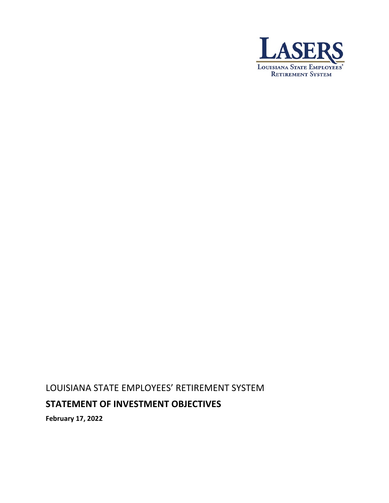

# LOUISIANA STATE EMPLOYEES' RETIREMENT SYSTEM

# **STATEMENT OF INVESTMENT OBJECTIVES**

**February 17, 2022**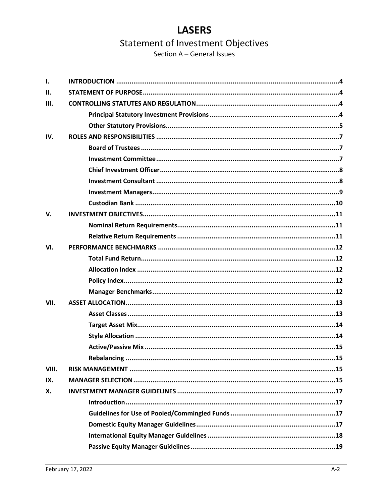Section A - General Issues

| $\mathbf{I}$ . |  |
|----------------|--|
| II.            |  |
| III.           |  |
|                |  |
|                |  |
| IV.            |  |
|                |  |
|                |  |
|                |  |
|                |  |
|                |  |
|                |  |
| $V_{\cdot}$    |  |
|                |  |
|                |  |
| VI.            |  |
|                |  |
|                |  |
|                |  |
|                |  |
| VII.           |  |
|                |  |
|                |  |
|                |  |
|                |  |
|                |  |
| VIII.          |  |
| IX.            |  |
| X.             |  |
|                |  |
|                |  |
|                |  |
|                |  |
|                |  |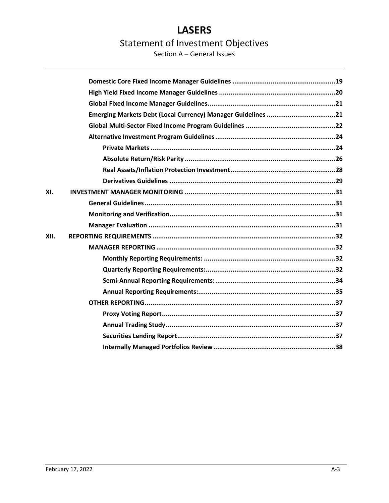# **LASERS**

# **Statement of Investment Objectives**

Section A - General Issues

|      | Emerging Markets Debt (Local Currency) Manager Guidelines 21 |
|------|--------------------------------------------------------------|
|      |                                                              |
|      |                                                              |
|      |                                                              |
|      |                                                              |
|      |                                                              |
|      |                                                              |
| XI.  |                                                              |
|      |                                                              |
|      |                                                              |
|      |                                                              |
| XII. |                                                              |
|      |                                                              |
|      |                                                              |
|      |                                                              |
|      |                                                              |
|      |                                                              |
|      |                                                              |
|      |                                                              |
|      |                                                              |
|      |                                                              |
|      |                                                              |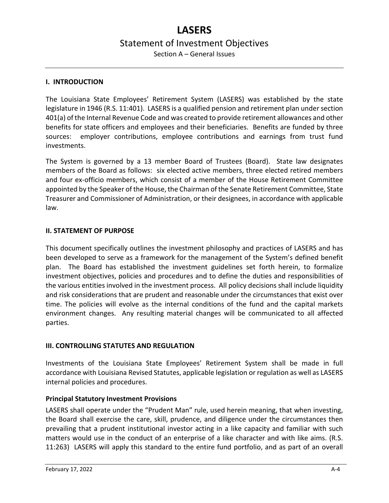# **LASERS** Statement of Investment Objectives Section A – General Issues

## <span id="page-3-0"></span>**I. INTRODUCTION**

The Louisiana State Employees' Retirement System (LASERS) was established by the state legislature in 1946 (R.S. 11:401). LASERS is a qualified pension and retirement plan under section 401(a) of the Internal Revenue Code and was created to provide retirement allowances and other benefits for state officers and employees and their beneficiaries. Benefits are funded by three sources: employer contributions, employee contributions and earnings from trust fund investments.

The System is governed by a 13 member Board of Trustees (Board). State law designates members of the Board as follows: six elected active members, three elected retired members and four ex-officio members, which consist of a member of the House Retirement Committee appointed by the Speaker of the House, the Chairman of the Senate Retirement Committee, State Treasurer and Commissioner of Administration, or their designees, in accordance with applicable law.

## <span id="page-3-1"></span>**II. STATEMENT OF PURPOSE**

This document specifically outlines the investment philosophy and practices of LASERS and has been developed to serve as a framework for the management of the System's defined benefit plan. The Board has established the investment guidelines set forth herein, to formalize investment objectives, policies and procedures and to define the duties and responsibilities of the various entities involved in the investment process. All policy decisions shall include liquidity and risk considerations that are prudent and reasonable under the circumstances that exist over time. The policies will evolve as the internal conditions of the fund and the capital markets environment changes. Any resulting material changes will be communicated to all affected parties.

## <span id="page-3-2"></span>**III. CONTROLLING STATUTES AND REGULATION**

Investments of the Louisiana State Employees' Retirement System shall be made in full accordance with Louisiana Revised Statutes, applicable legislation or regulation as well as LASERS internal policies and procedures.

#### <span id="page-3-3"></span>**Principal Statutory Investment Provisions**

LASERS shall operate under the "Prudent Man" rule, used herein meaning, that when investing, the Board shall exercise the care, skill, prudence, and diligence under the circumstances then prevailing that a prudent institutional investor acting in a like capacity and familiar with such matters would use in the conduct of an enterprise of a like character and with like aims. (R.S. 11:263) LASERS will apply this standard to the entire fund portfolio, and as part of an overall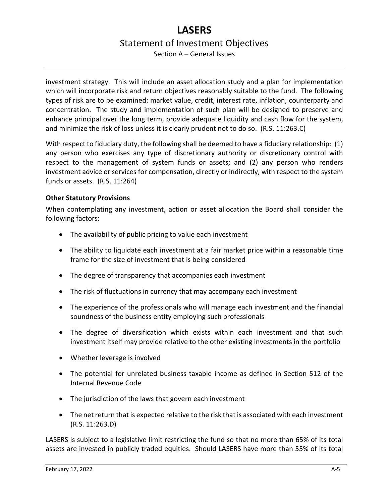Section A – General Issues

investment strategy. This will include an asset allocation study and a plan for implementation which will incorporate risk and return objectives reasonably suitable to the fund. The following types of risk are to be examined: market value, credit, interest rate, inflation, counterparty and concentration. The study and implementation of such plan will be designed to preserve and enhance principal over the long term, provide adequate liquidity and cash flow for the system, and minimize the risk of loss unless it is clearly prudent not to do so. (R.S. 11:263.C)

With respect to fiduciary duty, the following shall be deemed to have a fiduciary relationship: (1) any person who exercises any type of discretionary authority or discretionary control with respect to the management of system funds or assets; and (2) any person who renders investment advice or services for compensation, directly or indirectly, with respect to the system funds or assets. (R.S. 11:264)

# <span id="page-4-0"></span>**Other Statutory Provisions**

When contemplating any investment, action or asset allocation the Board shall consider the following factors:

- The availability of public pricing to value each investment
- The ability to liquidate each investment at a fair market price within a reasonable time frame for the size of investment that is being considered
- The degree of transparency that accompanies each investment
- The risk of fluctuations in currency that may accompany each investment
- The experience of the professionals who will manage each investment and the financial soundness of the business entity employing such professionals
- The degree of diversification which exists within each investment and that such investment itself may provide relative to the other existing investments in the portfolio
- Whether leverage is involved
- The potential for unrelated business taxable income as defined in Section 512 of the Internal Revenue Code
- The jurisdiction of the laws that govern each investment
- The net return that is expected relative to the risk that is associated with each investment (R.S. 11:263.D)

LASERS is subject to a legislative limit restricting the fund so that no more than 65% of its total assets are invested in publicly traded equities. Should LASERS have more than 55% of its total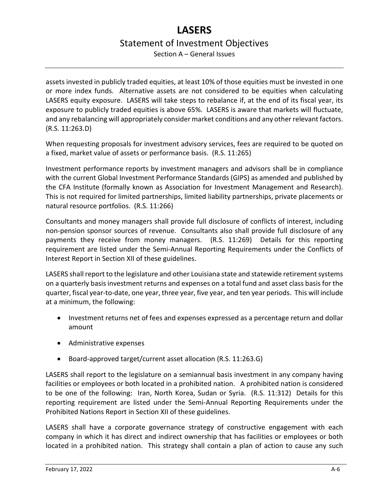# **LASERS** Statement of Investment Objectives Section A – General Issues

assets invested in publicly traded equities, at least 10% of those equities must be invested in one or more index funds. Alternative assets are not considered to be equities when calculating LASERS equity exposure. LASERS will take steps to rebalance if, at the end of its fiscal year, its exposure to publicly traded equities is above 65%. LASERS is aware that markets will fluctuate, and any rebalancing will appropriately consider market conditions and any other relevant factors. (R.S. 11:263.D)

When requesting proposals for investment advisory services, fees are required to be quoted on a fixed, market value of assets or performance basis. (R.S. 11:265)

Investment performance reports by investment managers and advisors shall be in compliance with the current Global Investment Performance Standards (GIPS) as amended and published by the CFA Institute (formally known as Association for Investment Management and Research). This is not required for limited partnerships, limited liability partnerships, private placements or natural resource portfolios. (R.S. 11:266)

Consultants and money managers shall provide full disclosure of conflicts of interest, including non-pension sponsor sources of revenue. Consultants also shall provide full disclosure of any payments they receive from money managers. (R.S. 11:269) Details for this reporting requirement are listed under the Semi-Annual Reporting Requirements under the Conflicts of Interest Report in Section XII of these guidelines.

LASERS shall report to the legislature and other Louisiana state and statewide retirement systems on a quarterly basis investment returns and expenses on a total fund and asset class basis for the quarter, fiscal year-to-date, one year, three year, five year, and ten year periods. This will include at a minimum, the following:

- Investment returns net of fees and expenses expressed as a percentage return and dollar amount
- Administrative expenses
- Board-approved target/current asset allocation (R.S. 11:263.G)

LASERS shall report to the legislature on a semiannual basis investment in any company having facilities or employees or both located in a prohibited nation. A prohibited nation is considered to be one of the following: Iran, North Korea, Sudan or Syria. (R.S. 11:312) Details for this reporting requirement are listed under the Semi-Annual Reporting Requirements under the Prohibited Nations Report in Section XII of these guidelines.

LASERS shall have a corporate governance strategy of constructive engagement with each company in which it has direct and indirect ownership that has facilities or employees or both located in a prohibited nation. This strategy shall contain a plan of action to cause any such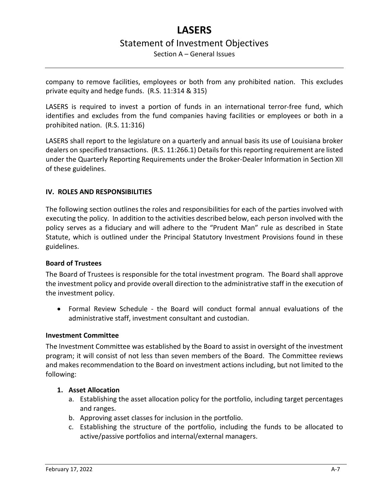Section A – General Issues

company to remove facilities, employees or both from any prohibited nation. This excludes private equity and hedge funds. (R.S. 11:314 & 315)

LASERS is required to invest a portion of funds in an international terror-free fund, which identifies and excludes from the fund companies having facilities or employees or both in a prohibited nation. (R.S. 11:316)

LASERS shall report to the legislature on a quarterly and annual basis its use of Louisiana broker dealers on specified transactions. (R.S. 11:266.1) Details for this reporting requirement are listed under the Quarterly Reporting Requirements under the Broker-Dealer Information in Section XII of these guidelines.

# <span id="page-6-0"></span>**IV. ROLES AND RESPONSIBILITIES**

The following section outlines the roles and responsibilities for each of the parties involved with executing the policy. In addition to the activities described below, each person involved with the policy serves as a fiduciary and will adhere to the "Prudent Man" rule as described in State Statute, which is outlined under the Principal Statutory Investment Provisions found in these guidelines.

## <span id="page-6-1"></span>**Board of Trustees**

The Board of Trustees is responsible for the total investment program. The Board shall approve the investment policy and provide overall direction to the administrative staff in the execution of the investment policy.

• Formal Review Schedule - the Board will conduct formal annual evaluations of the administrative staff, investment consultant and custodian.

## <span id="page-6-2"></span>**Investment Committee**

The Investment Committee was established by the Board to assist in oversight of the investment program; it will consist of not less than seven members of the Board. The Committee reviews and makes recommendation to the Board on investment actions including, but not limited to the following:

## **1. Asset Allocation**

- a. Establishing the asset allocation policy for the portfolio, including target percentages and ranges.
- b. Approving asset classes for inclusion in the portfolio.
- c. Establishing the structure of the portfolio, including the funds to be allocated to active/passive portfolios and internal/external managers.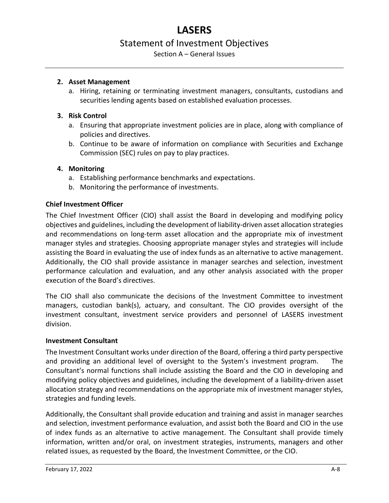# **LASERS**

# Statement of Investment Objectives

Section A – General Issues

## **2. Asset Management**

a. Hiring, retaining or terminating investment managers, consultants, custodians and securities lending agents based on established evaluation processes.

# **3. Risk Control**

- a. Ensuring that appropriate investment policies are in place, along with compliance of policies and directives.
- b. Continue to be aware of information on compliance with Securities and Exchange Commission (SEC) rules on pay to play practices.

# **4. Monitoring**

- a. Establishing performance benchmarks and expectations.
- b. Monitoring the performance of investments.

# <span id="page-7-0"></span>**Chief Investment Officer**

The Chief Investment Officer (CIO) shall assist the Board in developing and modifying policy objectives and guidelines, including the development of liability-driven asset allocation strategies and recommendations on long-term asset allocation and the appropriate mix of investment manager styles and strategies. Choosing appropriate manager styles and strategies will include assisting the Board in evaluating the use of index funds as an alternative to active management. Additionally, the CIO shall provide assistance in manager searches and selection, investment performance calculation and evaluation, and any other analysis associated with the proper execution of the Board's directives.

The CIO shall also communicate the decisions of the Investment Committee to investment managers, custodian bank(s), actuary, and consultant. The CIO provides oversight of the investment consultant, investment service providers and personnel of LASERS investment division.

## <span id="page-7-1"></span>**Investment Consultant**

The Investment Consultant works under direction of the Board, offering a third party perspective and providing an additional level of oversight to the System's investment program. The Consultant's normal functions shall include assisting the Board and the CIO in developing and modifying policy objectives and guidelines, including the development of a liability-driven asset allocation strategy and recommendations on the appropriate mix of investment manager styles, strategies and funding levels.

Additionally, the Consultant shall provide education and training and assist in manager searches and selection, investment performance evaluation, and assist both the Board and CIO in the use of index funds as an alternative to active management. The Consultant shall provide timely information, written and/or oral, on investment strategies, instruments, managers and other related issues, as requested by the Board, the Investment Committee, or the CIO.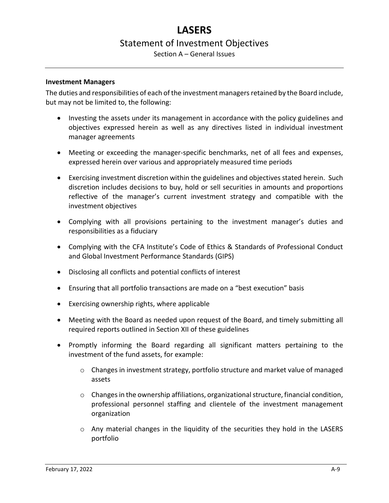Section A – General Issues

#### <span id="page-8-0"></span>**Investment Managers**

The duties and responsibilities of each of the investment managers retained by the Board include, but may not be limited to, the following:

- Investing the assets under its management in accordance with the policy guidelines and objectives expressed herein as well as any directives listed in individual investment manager agreements
- Meeting or exceeding the manager-specific benchmarks, net of all fees and expenses, expressed herein over various and appropriately measured time periods
- Exercising investment discretion within the guidelines and objectives stated herein. Such discretion includes decisions to buy, hold or sell securities in amounts and proportions reflective of the manager's current investment strategy and compatible with the investment objectives
- Complying with all provisions pertaining to the investment manager's duties and responsibilities as a fiduciary
- Complying with the CFA Institute's Code of Ethics & Standards of Professional Conduct and Global Investment Performance Standards (GIPS)
- Disclosing all conflicts and potential conflicts of interest
- Ensuring that all portfolio transactions are made on a "best execution" basis
- Exercising ownership rights, where applicable
- Meeting with the Board as needed upon request of the Board, and timely submitting all required reports outlined in Section XII of these guidelines
- Promptly informing the Board regarding all significant matters pertaining to the investment of the fund assets, for example:
	- o Changes in investment strategy, portfolio structure and market value of managed assets
	- o Changes in the ownership affiliations, organizational structure, financial condition, professional personnel staffing and clientele of the investment management organization
	- $\circ$  Any material changes in the liquidity of the securities they hold in the LASERS portfolio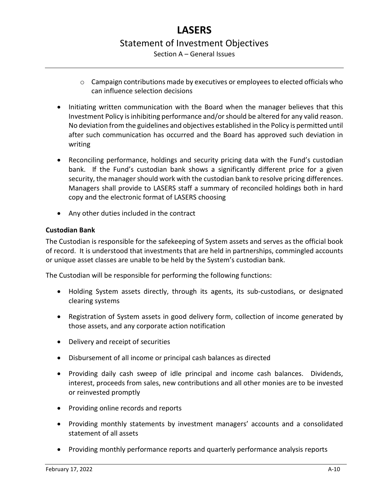- $\circ$  Campaign contributions made by executives or employees to elected officials who can influence selection decisions
- Initiating written communication with the Board when the manager believes that this Investment Policy is inhibiting performance and/or should be altered for any valid reason. No deviation from the guidelines and objectives established in the Policy is permitted until after such communication has occurred and the Board has approved such deviation in writing
- Reconciling performance, holdings and security pricing data with the Fund's custodian bank. If the Fund's custodian bank shows a significantly different price for a given security, the manager should work with the custodian bank to resolve pricing differences. Managers shall provide to LASERS staff a summary of reconciled holdings both in hard copy and the electronic format of LASERS choosing
- Any other duties included in the contract

## <span id="page-9-0"></span>**Custodian Bank**

The Custodian is responsible for the safekeeping of System assets and serves as the official book of record. It is understood that investments that are held in partnerships, commingled accounts or unique asset classes are unable to be held by the System's custodian bank.

The Custodian will be responsible for performing the following functions:

- Holding System assets directly, through its agents, its sub-custodians, or designated clearing systems
- Registration of System assets in good delivery form, collection of income generated by those assets, and any corporate action notification
- Delivery and receipt of securities
- Disbursement of all income or principal cash balances as directed
- Providing daily cash sweep of idle principal and income cash balances. Dividends, interest, proceeds from sales, new contributions and all other monies are to be invested or reinvested promptly
- Providing online records and reports
- Providing monthly statements by investment managers' accounts and a consolidated statement of all assets
- Providing monthly performance reports and quarterly performance analysis reports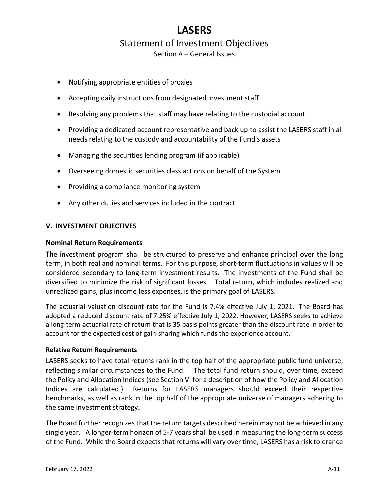Section A – General Issues

- Notifying appropriate entities of proxies
- Accepting daily instructions from designated investment staff
- Resolving any problems that staff may have relating to the custodial account
- Providing a dedicated account representative and back up to assist the LASERS staff in all needs relating to the custody and accountability of the Fund's assets
- Managing the securities lending program (if applicable)
- Overseeing domestic securities class actions on behalf of the System
- Providing a compliance monitoring system
- Any other duties and services included in the contract

## <span id="page-10-0"></span>**V. INVESTMENT OBJECTIVES**

#### <span id="page-10-1"></span>**Nominal Return Requirements**

The investment program shall be structured to preserve and enhance principal over the long term, in both real and nominal terms. For this purpose, short-term fluctuations in values will be considered secondary to long-term investment results. The investments of the Fund shall be diversified to minimize the risk of significant losses. Total return, which includes realized and unrealized gains, plus income less expenses, is the primary goal of LASERS.

The actuarial valuation discount rate for the Fund is 7.4% effective July 1, 2021. The Board has adopted a reduced discount rate of 7.25% effective July 1, 2022. However, LASERS seeks to achieve a long-term actuarial rate of return that is 35 basis points greater than the discount rate in order to account for the expected cost of gain-sharing which funds the experience account.

#### <span id="page-10-2"></span>**Relative Return Requirements**

LASERS seeks to have total returns rank in the top half of the appropriate public fund universe, reflecting similar circumstances to the Fund. The total fund return should, over time, exceed the Policy and Allocation Indices (see Section VI for a description of how the Policy and Allocation Indices are calculated.) Returns for LASERS managers should exceed their respective benchmarks, as well as rank in the top half of the appropriate universe of managers adhering to the same investment strategy.

The Board further recognizes that the return targets described herein may not be achieved in any single year. A longer-term horizon of 5-7 years shall be used in measuring the long-term success of the Fund. While the Board expects that returns will vary over time, LASERS has a risk tolerance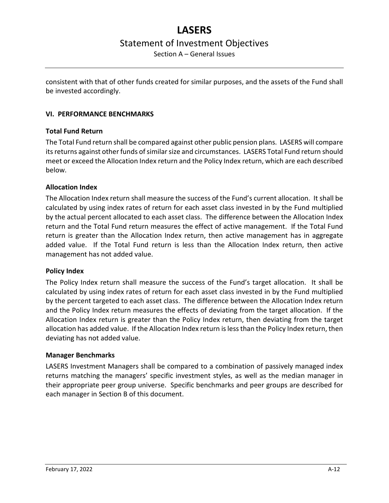Section A – General Issues

consistent with that of other funds created for similar purposes, and the assets of the Fund shall be invested accordingly.

# <span id="page-11-0"></span>**VI. PERFORMANCE BENCHMARKS**

# <span id="page-11-1"></span>**Total Fund Return**

The Total Fund return shall be compared against other public pension plans. LASERS will compare its returns against other funds of similar size and circumstances. LASERS Total Fund return should meet or exceed the Allocation Index return and the Policy Index return, which are each described below.

## <span id="page-11-2"></span>**Allocation Index**

The Allocation Index return shall measure the success of the Fund's current allocation. It shall be calculated by using index rates of return for each asset class invested in by the Fund multiplied by the actual percent allocated to each asset class. The difference between the Allocation Index return and the Total Fund return measures the effect of active management. If the Total Fund return is greater than the Allocation Index return, then active management has in aggregate added value. If the Total Fund return is less than the Allocation Index return, then active management has not added value.

## <span id="page-11-3"></span>**Policy Index**

The Policy Index return shall measure the success of the Fund's target allocation. It shall be calculated by using index rates of return for each asset class invested in by the Fund multiplied by the percent targeted to each asset class. The difference between the Allocation Index return and the Policy Index return measures the effects of deviating from the target allocation. If the Allocation Index return is greater than the Policy Index return, then deviating from the target allocation has added value. If the Allocation Index return is less than the Policy Index return, then deviating has not added value.

## <span id="page-11-4"></span>**Manager Benchmarks**

LASERS Investment Managers shall be compared to a combination of passively managed index returns matching the managers' specific investment styles, as well as the median manager in their appropriate peer group universe. Specific benchmarks and peer groups are described for each manager in Section B of this document.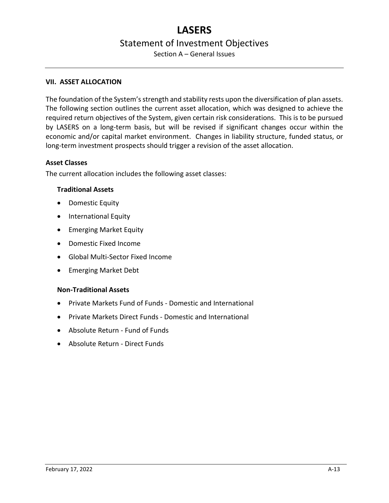Section A – General Issues

#### <span id="page-12-0"></span>**VII. ASSET ALLOCATION**

The foundation of the System's strength and stability rests upon the diversification of plan assets. The following section outlines the current asset allocation, which was designed to achieve the required return objectives of the System, given certain risk considerations. This is to be pursued by LASERS on a long-term basis, but will be revised if significant changes occur within the economic and/or capital market environment. Changes in liability structure, funded status, or long-term investment prospects should trigger a revision of the asset allocation.

#### <span id="page-12-1"></span>**Asset Classes**

The current allocation includes the following asset classes:

#### **Traditional Assets**

- Domestic Equity
- International Equity
- Emerging Market Equity
- Domestic Fixed Income
- Global Multi-Sector Fixed Income
- Emerging Market Debt

## **Non-Traditional Assets**

- Private Markets Fund of Funds Domestic and International
- Private Markets Direct Funds Domestic and International
- Absolute Return Fund of Funds
- Absolute Return Direct Funds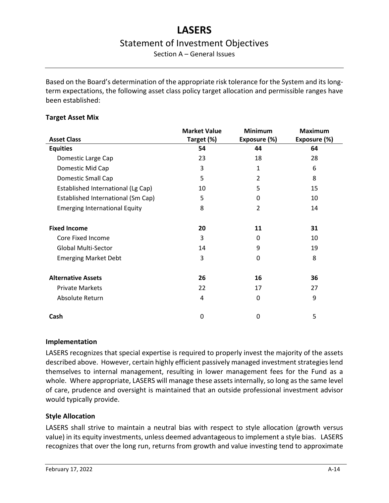Section A – General Issues

Based on the Board's determination of the appropriate risk tolerance for the System and its longterm expectations, the following asset class policy target allocation and permissible ranges have been established:

## <span id="page-13-0"></span>**Target Asset Mix**

|                                      | <b>Market Value</b> | <b>Minimum</b> | <b>Maximum</b> |
|--------------------------------------|---------------------|----------------|----------------|
| <b>Asset Class</b>                   | Target (%)          | Exposure (%)   | Exposure (%)   |
| <b>Equities</b>                      | 54                  | 44             | 64             |
| Domestic Large Cap                   | 23                  | 18             | 28             |
| Domestic Mid Cap                     | 3                   | 1              | 6              |
| Domestic Small Cap                   | 5                   | $\mathcal{P}$  | 8              |
| Established International (Lg Cap)   | 10                  | 5              | 15             |
| Established International (Sm Cap)   | 5                   | 0              | 10             |
| <b>Emerging International Equity</b> | 8                   | $\overline{2}$ | 14             |
|                                      |                     |                |                |
| <b>Fixed Income</b>                  | 20                  | 11             | 31             |
| Core Fixed Income                    | 3                   | 0              | 10             |
| <b>Global Multi-Sector</b>           | 14                  | 9              | 19             |
| <b>Emerging Market Debt</b>          | 3                   | 0              | 8              |
|                                      |                     |                |                |
| <b>Alternative Assets</b>            | 26                  | 16             | 36             |
| <b>Private Markets</b>               | 22                  | 17             | 27             |
| Absolute Return                      | 4                   | 0              | 9              |
|                                      |                     |                |                |
| Cash                                 | 0                   | $\mathbf 0$    | 5              |

## **Implementation**

LASERS recognizes that special expertise is required to properly invest the majority of the assets described above. However, certain highly efficient passively managed investment strategies lend themselves to internal management, resulting in lower management fees for the Fund as a whole. Where appropriate, LASERS will manage these assets internally, so long as the same level of care, prudence and oversight is maintained that an outside professional investment advisor would typically provide.

# <span id="page-13-1"></span>**Style Allocation**

LASERS shall strive to maintain a neutral bias with respect to style allocation (growth versus value) in its equity investments, unless deemed advantageous to implement a style bias. LASERS recognizes that over the long run, returns from growth and value investing tend to approximate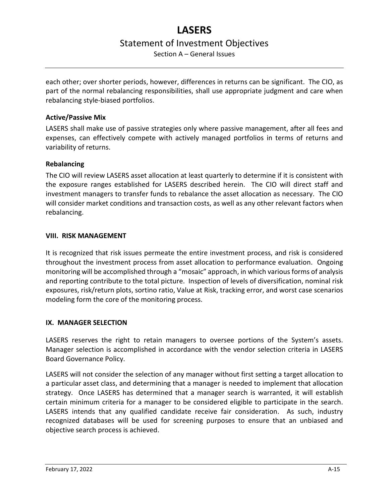Section A – General Issues

each other; over shorter periods, however, differences in returns can be significant. The CIO, as part of the normal rebalancing responsibilities, shall use appropriate judgment and care when rebalancing style-biased portfolios.

# <span id="page-14-0"></span>**Active/Passive Mix**

LASERS shall make use of passive strategies only where passive management, after all fees and expenses, can effectively compete with actively managed portfolios in terms of returns and variability of returns.

# <span id="page-14-1"></span>**Rebalancing**

The CIO will review LASERS asset allocation at least quarterly to determine if it is consistent with the exposure ranges established for LASERS described herein. The CIO will direct staff and investment managers to transfer funds to rebalance the asset allocation as necessary. The CIO will consider market conditions and transaction costs, as well as any other relevant factors when rebalancing.

# <span id="page-14-2"></span>**VIII. RISK MANAGEMENT**

It is recognized that risk issues permeate the entire investment process, and risk is considered throughout the investment process from asset allocation to performance evaluation. Ongoing monitoring will be accomplished through a "mosaic" approach, in which various forms of analysis and reporting contribute to the total picture. Inspection of levels of diversification, nominal risk exposures, risk/return plots, sortino ratio, Value at Risk, tracking error, and worst case scenarios modeling form the core of the monitoring process.

## <span id="page-14-3"></span>**IX. MANAGER SELECTION**

LASERS reserves the right to retain managers to oversee portions of the System's assets. Manager selection is accomplished in accordance with the vendor selection criteria in LASERS Board Governance Policy.

LASERS will not consider the selection of any manager without first setting a target allocation to a particular asset class, and determining that a manager is needed to implement that allocation strategy. Once LASERS has determined that a manager search is warranted, it will establish certain minimum criteria for a manager to be considered eligible to participate in the search. LASERS intends that any qualified candidate receive fair consideration. As such, industry recognized databases will be used for screening purposes to ensure that an unbiased and objective search process is achieved.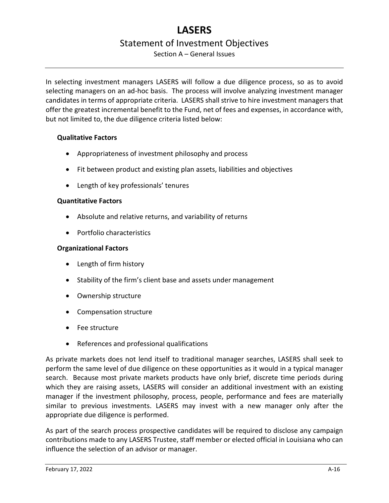Section A – General Issues

In selecting investment managers LASERS will follow a due diligence process, so as to avoid selecting managers on an ad-hoc basis. The process will involve analyzing investment manager candidates in terms of appropriate criteria. LASERS shall strive to hire investment managers that offer the greatest incremental benefit to the Fund, net of fees and expenses, in accordance with, but not limited to, the due diligence criteria listed below:

# **Qualitative Factors**

- Appropriateness of investment philosophy and process
- Fit between product and existing plan assets, liabilities and objectives
- Length of key professionals' tenures

# **Quantitative Factors**

- Absolute and relative returns, and variability of returns
- Portfolio characteristics

# **Organizational Factors**

- Length of firm history
- Stability of the firm's client base and assets under management
- Ownership structure
- Compensation structure
- Fee structure
- References and professional qualifications

As private markets does not lend itself to traditional manager searches, LASERS shall seek to perform the same level of due diligence on these opportunities as it would in a typical manager search. Because most private markets products have only brief, discrete time periods during which they are raising assets, LASERS will consider an additional investment with an existing manager if the investment philosophy, process, people, performance and fees are materially similar to previous investments. LASERS may invest with a new manager only after the appropriate due diligence is performed.

As part of the search process prospective candidates will be required to disclose any campaign contributions made to any LASERS Trustee, staff member or elected official in Louisiana who can influence the selection of an advisor or manager.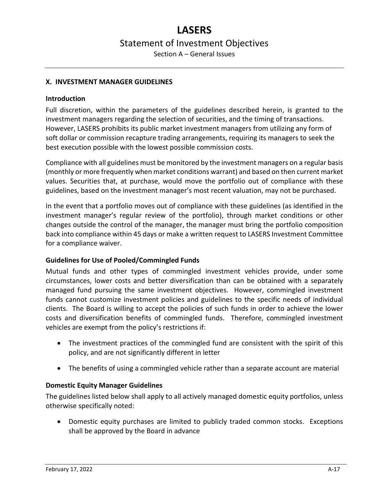Section A – General Issues

#### <span id="page-16-0"></span>**X. INVESTMENT MANAGER GUIDELINES**

#### <span id="page-16-1"></span>**Introduction**

Full discretion, within the parameters of the guidelines described herein, is granted to the investment managers regarding the selection of securities, and the timing of transactions. However, LASERS prohibits its public market investment managers from utilizing any form of soft dollar or commission recapture trading arrangements, requiring its managers to seek the best execution possible with the lowest possible commission costs.

Compliance with all guidelines must be monitored by the investment managers on a regular basis (monthly or more frequently when market conditions warrant) and based on then current market values. Securities that, at purchase, would move the portfolio out of compliance with these guidelines, based on the investment manager's most recent valuation, may not be purchased.

In the event that a portfolio moves out of compliance with these guidelines (as identified in the investment manager's regular review of the portfolio), through market conditions or other changes outside the control of the manager, the manager must bring the portfolio composition back into compliance within 45 days or make a written request to LASERS Investment Committee for a compliance waiver.

## <span id="page-16-2"></span>**Guidelines for Use of Pooled/Commingled Funds**

Mutual funds and other types of commingled investment vehicles provide, under some circumstances, lower costs and better diversification than can be obtained with a separately managed fund pursuing the same investment objectives. However, commingled investment funds cannot customize investment policies and guidelines to the specific needs of individual clients. The Board is willing to accept the policies of such funds in order to achieve the lower costs and diversification benefits of commingled funds. Therefore, commingled investment vehicles are exempt from the policy's restrictions if:

- The investment practices of the commingled fund are consistent with the spirit of this policy, and are not significantly different in letter
- The benefits of using a commingled vehicle rather than a separate account are material

## <span id="page-16-3"></span>**Domestic Equity Manager Guidelines**

The guidelines listed below shall apply to all actively managed domestic equity portfolios, unless otherwise specifically noted:

• Domestic equity purchases are limited to publicly traded common stocks. Exceptions shall be approved by the Board in advance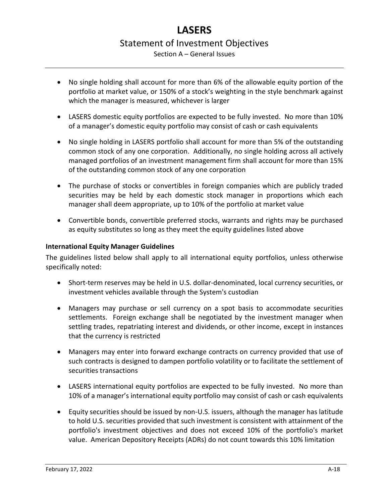- Section A General Issues
- No single holding shall account for more than 6% of the allowable equity portion of the portfolio at market value, or 150% of a stock's weighting in the style benchmark against which the manager is measured, whichever is larger
- LASERS domestic equity portfolios are expected to be fully invested. No more than 10% of a manager's domestic equity portfolio may consist of cash or cash equivalents
- No single holding in LASERS portfolio shall account for more than 5% of the outstanding common stock of any one corporation. Additionally, no single holding across all actively managed portfolios of an investment management firm shall account for more than 15% of the outstanding common stock of any one corporation
- The purchase of stocks or convertibles in foreign companies which are publicly traded securities may be held by each domestic stock manager in proportions which each manager shall deem appropriate, up to 10% of the portfolio at market value
- Convertible bonds, convertible preferred stocks, warrants and rights may be purchased as equity substitutes so long as they meet the equity guidelines listed above

# <span id="page-17-0"></span>**International Equity Manager Guidelines**

The guidelines listed below shall apply to all international equity portfolios, unless otherwise specifically noted:

- Short-term reserves may be held in U.S. dollar-denominated, local currency securities, or investment vehicles available through the System's custodian
- Managers may purchase or sell currency on a spot basis to accommodate securities settlements. Foreign exchange shall be negotiated by the investment manager when settling trades, repatriating interest and dividends, or other income, except in instances that the currency is restricted
- Managers may enter into forward exchange contracts on currency provided that use of such contracts is designed to dampen portfolio volatility or to facilitate the settlement of securities transactions
- LASERS international equity portfolios are expected to be fully invested. No more than 10% of a manager's international equity portfolio may consist of cash or cash equivalents
- Equity securities should be issued by non-U.S. issuers, although the manager has latitude to hold U.S. securities provided that such investment is consistent with attainment of the portfolio's investment objectives and does not exceed 10% of the portfolio's market value. American Depository Receipts (ADRs) do not count towards this 10% limitation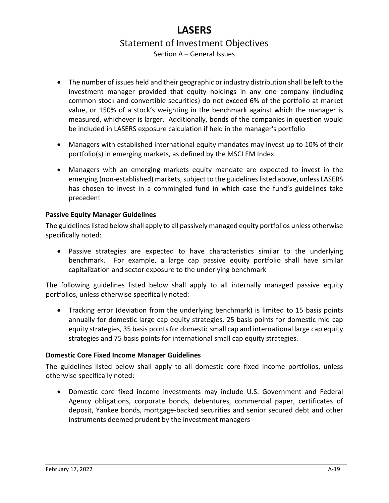- Section A General Issues
- The number of issues held and their geographic or industry distribution shall be left to the investment manager provided that equity holdings in any one company (including common stock and convertible securities) do not exceed 6% of the portfolio at market value, or 150% of a stock's weighting in the benchmark against which the manager is measured, whichever is larger. Additionally, bonds of the companies in question would be included in LASERS exposure calculation if held in the manager's portfolio
- Managers with established international equity mandates may invest up to 10% of their portfolio(s) in emerging markets, as defined by the MSCI EM Index
- Managers with an emerging markets equity mandate are expected to invest in the emerging (non-established) markets, subject to the guidelines listed above, unless LASERS has chosen to invest in a commingled fund in which case the fund's guidelines take precedent

# <span id="page-18-0"></span>**Passive Equity Manager Guidelines**

The guidelines listed below shall apply to all passively managed equity portfolios unless otherwise specifically noted:

• Passive strategies are expected to have characteristics similar to the underlying benchmark. For example, a large cap passive equity portfolio shall have similar capitalization and sector exposure to the underlying benchmark

The following guidelines listed below shall apply to all internally managed passive equity portfolios, unless otherwise specifically noted:

• Tracking error (deviation from the underlying benchmark) is limited to 15 basis points annually for domestic large cap equity strategies, 25 basis points for domestic mid cap equity strategies, 35 basis points for domestic small cap and international large cap equity strategies and 75 basis points for international small cap equity strategies.

## <span id="page-18-1"></span>**Domestic Core Fixed Income Manager Guidelines**

The guidelines listed below shall apply to all domestic core fixed income portfolios, unless otherwise specifically noted:

• Domestic core fixed income investments may include U.S. Government and Federal Agency obligations, corporate bonds, debentures, commercial paper, certificates of deposit, Yankee bonds, mortgage-backed securities and senior secured debt and other instruments deemed prudent by the investment managers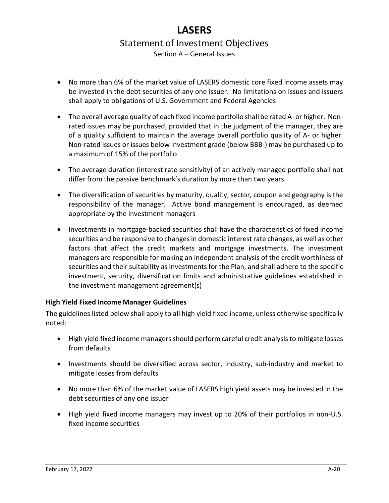# **LASERS** Statement of Investment Objectives Section A – General Issues

- No more than 6% of the market value of LASERS domestic core fixed income assets may be invested in the debt securities of any one issuer. No limitations on issues and issuers shall apply to obligations of U.S. Government and Federal Agencies
- The overall average quality of each fixed income portfolio shall be rated A- or higher. Nonrated issues may be purchased, provided that in the judgment of the manager, they are of a quality sufficient to maintain the average overall portfolio quality of A- or higher. Non-rated issues or issues below investment grade (below BBB-) may be purchased up to a maximum of 15% of the portfolio
- The average duration (interest rate sensitivity) of an actively managed portfolio shall not differ from the passive benchmark's duration by more than two years
- The diversification of securities by maturity, quality, sector, coupon and geography is the responsibility of the manager. Active bond management is encouraged, as deemed appropriate by the investment managers
- Investments in mortgage-backed securities shall have the characteristics of fixed income securities and be responsive to changes in domestic interest rate changes, as well as other factors that affect the credit markets and mortgage investments. The investment managers are responsible for making an independent analysis of the credit worthiness of securities and their suitability as investments for the Plan, and shall adhere to the specific investment, security, diversification limits and administrative guidelines established in the investment management agreement(s)

# <span id="page-19-0"></span>**High Yield Fixed Income Manager Guidelines**

The guidelines listed below shall apply to all high yield fixed income, unless otherwise specifically noted:

- High yield fixed income managers should perform careful credit analysis to mitigate losses from defaults
- Investments should be diversified across sector, industry, sub-industry and market to mitigate losses from defaults
- No more than 6% of the market value of LASERS high yield assets may be invested in the debt securities of any one issuer
- High yield fixed income managers may invest up to 20% of their portfolios in non-U.S. fixed income securities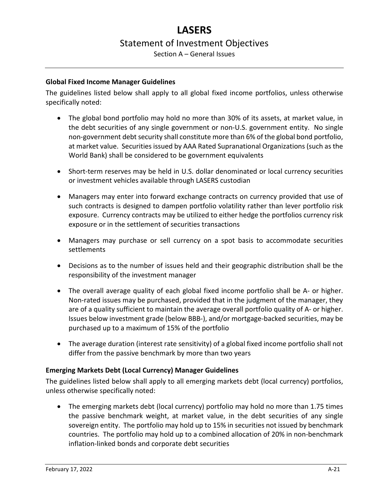Section A – General Issues

# <span id="page-20-0"></span>**Global Fixed Income Manager Guidelines**

The guidelines listed below shall apply to all global fixed income portfolios, unless otherwise specifically noted:

- The global bond portfolio may hold no more than 30% of its assets, at market value, in the debt securities of any single government or non-U.S. government entity. No single non-government debt security shall constitute more than 6% of the global bond portfolio, at market value. Securities issued by AAA Rated Supranational Organizations (such as the World Bank) shall be considered to be government equivalents
- Short-term reserves may be held in U.S. dollar denominated or local currency securities or investment vehicles available through LASERS custodian
- Managers may enter into forward exchange contracts on currency provided that use of such contracts is designed to dampen portfolio volatility rather than lever portfolio risk exposure. Currency contracts may be utilized to either hedge the portfolios currency risk exposure or in the settlement of securities transactions
- Managers may purchase or sell currency on a spot basis to accommodate securities settlements
- Decisions as to the number of issues held and their geographic distribution shall be the responsibility of the investment manager
- The overall average quality of each global fixed income portfolio shall be A- or higher. Non-rated issues may be purchased, provided that in the judgment of the manager, they are of a quality sufficient to maintain the average overall portfolio quality of A- or higher. Issues below investment grade (below BBB-), and/or mortgage-backed securities, may be purchased up to a maximum of 15% of the portfolio
- The average duration (interest rate sensitivity) of a global fixed income portfolio shall not differ from the passive benchmark by more than two years

# <span id="page-20-1"></span>**Emerging Markets Debt (Local Currency) Manager Guidelines**

The guidelines listed below shall apply to all emerging markets debt (local currency) portfolios, unless otherwise specifically noted:

• The emerging markets debt (local currency) portfolio may hold no more than 1.75 times the passive benchmark weight, at market value, in the debt securities of any single sovereign entity. The portfolio may hold up to 15% in securities not issued by benchmark countries. The portfolio may hold up to a combined allocation of 20% in non-benchmark inflation-linked bonds and corporate debt securities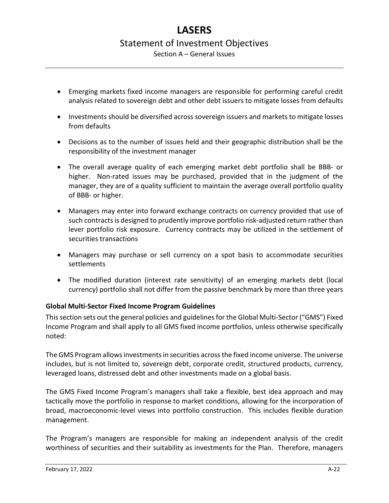Section A – General Issues

- Emerging markets fixed income managers are responsible for performing careful credit analysis related to sovereign debt and other debt issuers to mitigate losses from defaults
- Investments should be diversified across sovereign issuers and markets to mitigate losses from defaults
- Decisions as to the number of issues held and their geographic distribution shall be the responsibility of the investment manager
- The overall average quality of each emerging market debt portfolio shall be BBB- or higher. Non-rated issues may be purchased, provided that in the judgment of the manager, they are of a quality sufficient to maintain the average overall portfolio quality of BBB- or higher.
- Managers may enter into forward exchange contracts on currency provided that use of such contracts is designed to prudently improve portfolio risk-adjusted return rather than lever portfolio risk exposure. Currency contracts may be utilized in the settlement of securities transactions
- Managers may purchase or sell currency on a spot basis to accommodate securities settlements
- The modified duration (interest rate sensitivity) of an emerging markets debt (local currency) portfolio shall not differ from the passive benchmark by more than three years

# <span id="page-21-0"></span>**Global Multi-Sector Fixed Income Program Guidelines**

This section sets out the general policies and guidelines for the Global Multi-Sector ("GMS") Fixed Income Program and shall apply to all GMS fixed income portfolios, unless otherwise specifically noted:

The GMS Program allows investments in securities across the fixed income universe. The universe includes, but is not limited to, sovereign debt, corporate credit, structured products, currency, leveraged loans, distressed debt and other investments made on a global basis.

The GMS Fixed Income Program's managers shall take a flexible, best idea approach and may tactically move the portfolio in response to market conditions, allowing for the incorporation of broad, macroeconomic-level views into portfolio construction. This includes flexible duration management.

The Program's managers are responsible for making an independent analysis of the credit worthiness of securities and their suitability as investments for the Plan. Therefore, managers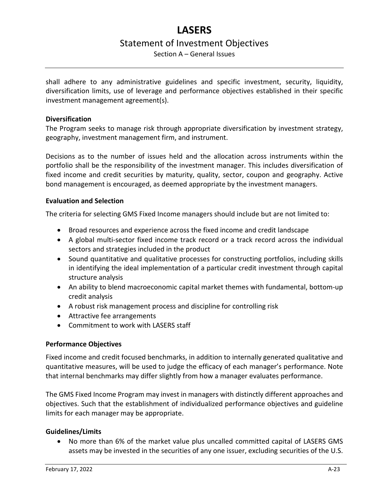Section A – General Issues

shall adhere to any administrative guidelines and specific investment, security, liquidity, diversification limits, use of leverage and performance objectives established in their specific investment management agreement(s).

# **Diversification**

The Program seeks to manage risk through appropriate diversification by investment strategy, geography, investment management firm, and instrument.

Decisions as to the number of issues held and the allocation across instruments within the portfolio shall be the responsibility of the investment manager. This includes diversification of fixed income and credit securities by maturity, quality, sector, coupon and geography. Active bond management is encouraged, as deemed appropriate by the investment managers.

## **Evaluation and Selection**

The criteria for selecting GMS Fixed Income managers should include but are not limited to:

- Broad resources and experience across the fixed income and credit landscape
- A global multi-sector fixed income track record or a track record across the individual sectors and strategies included in the product
- Sound quantitative and qualitative processes for constructing portfolios, including skills in identifying the ideal implementation of a particular credit investment through capital structure analysis
- An ability to blend macroeconomic capital market themes with fundamental, bottom-up credit analysis
- A robust risk management process and discipline for controlling risk
- Attractive fee arrangements
- Commitment to work with LASERS staff

# **Performance Objectives**

Fixed income and credit focused benchmarks, in addition to internally generated qualitative and quantitative measures, will be used to judge the efficacy of each manager's performance. Note that internal benchmarks may differ slightly from how a manager evaluates performance.

The GMS Fixed Income Program may invest in managers with distinctly different approaches and objectives. Such that the establishment of individualized performance objectives and guideline limits for each manager may be appropriate.

## **Guidelines/Limits**

• No more than 6% of the market value plus uncalled committed capital of LASERS GMS assets may be invested in the securities of any one issuer, excluding securities of the U.S.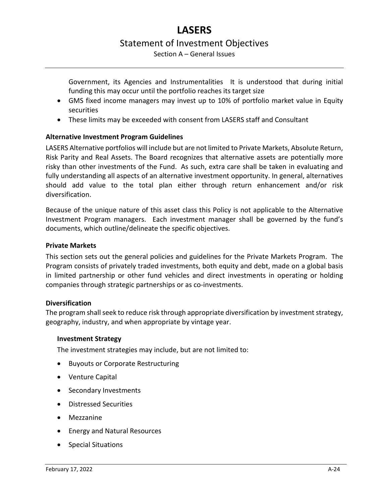Section A – General Issues

Government, its Agencies and Instrumentalities It is understood that during initial funding this may occur until the portfolio reaches its target size

- GMS fixed income managers may invest up to 10% of portfolio market value in Equity securities
- These limits may be exceeded with consent from LASERS staff and Consultant

# <span id="page-23-0"></span>**Alternative Investment Program Guidelines**

LASERS Alternative portfolios will include but are not limited to Private Markets, Absolute Return, Risk Parity and Real Assets. The Board recognizes that alternative assets are potentially more risky than other investments of the Fund. As such, extra care shall be taken in evaluating and fully understanding all aspects of an alternative investment opportunity. In general, alternatives should add value to the total plan either through return enhancement and/or risk diversification.

Because of the unique nature of this asset class this Policy is not applicable to the Alternative Investment Program managers. Each investment manager shall be governed by the fund's documents, which outline/delineate the specific objectives.

## <span id="page-23-1"></span>**Private Markets**

This section sets out the general policies and guidelines for the Private Markets Program. The Program consists of privately traded investments, both equity and debt, made on a global basis in limited partnership or other fund vehicles and direct investments in operating or holding companies through strategic partnerships or as co-investments.

## **Diversification**

The program shall seek to reduce risk through appropriate diversification by investment strategy, geography, industry, and when appropriate by vintage year.

#### **Investment Strategy**

The investment strategies may include, but are not limited to:

- Buyouts or Corporate Restructuring
- Venture Capital
- Secondary Investments
- Distressed Securities
- Mezzanine
- Energy and Natural Resources
- Special Situations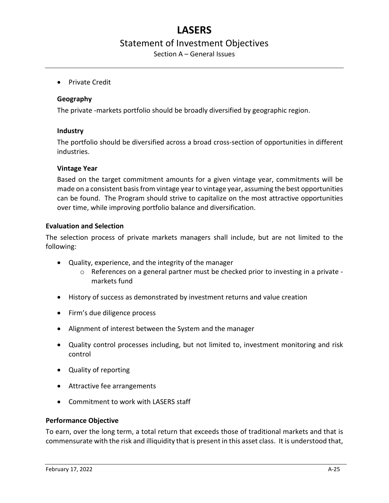Section A – General Issues

• Private Credit

#### **Geography**

The private -markets portfolio should be broadly diversified by geographic region.

#### **Industry**

The portfolio should be diversified across a broad cross-section of opportunities in different industries.

#### **Vintage Year**

Based on the target commitment amounts for a given vintage year, commitments will be made on a consistent basis from vintage yearto vintage year, assuming the best opportunities can be found. The Program should strive to capitalize on the most attractive opportunities over time, while improving portfolio balance and diversification.

#### **Evaluation and Selection**

The selection process of private markets managers shall include, but are not limited to the following:

- Quality, experience, and the integrity of the manager
	- o References on a general partner must be checked prior to investing in a private markets fund
- History of success as demonstrated by investment returns and value creation
- Firm's due diligence process
- Alignment of interest between the System and the manager
- Quality control processes including, but not limited to, investment monitoring and risk control
- Quality of reporting
- Attractive fee arrangements
- Commitment to work with LASERS staff

## **Performance Objective**

To earn, over the long term, a total return that exceeds those of traditional markets and that is commensurate with the risk and illiquidity that is present in this asset class. It is understood that,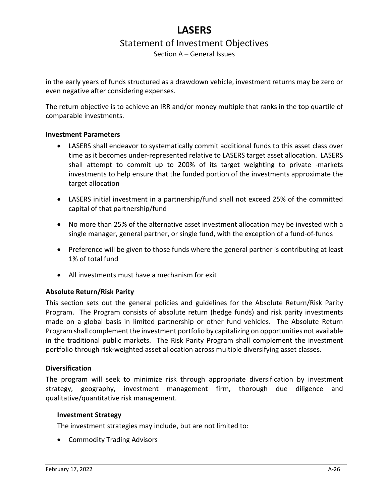Section A – General Issues

in the early years of funds structured as a drawdown vehicle, investment returns may be zero or even negative after considering expenses.

The return objective is to achieve an IRR and/or money multiple that ranks in the top quartile of comparable investments.

#### **Investment Parameters**

- LASERS shall endeavor to systematically commit additional funds to this asset class over time as it becomes under-represented relative to LASERS target asset allocation. LASERS shall attempt to commit up to 200% of its target weighting to private -markets investments to help ensure that the funded portion of the investments approximate the target allocation
- LASERS initial investment in a partnership/fund shall not exceed 25% of the committed capital of that partnership/fund
- No more than 25% of the alternative asset investment allocation may be invested with a single manager, general partner, or single fund, with the exception of a fund-of-funds
- Preference will be given to those funds where the general partner is contributing at least 1% of total fund
- All investments must have a mechanism for exit

## <span id="page-25-0"></span>**Absolute Return/Risk Parity**

This section sets out the general policies and guidelines for the Absolute Return/Risk Parity Program. The Program consists of absolute return (hedge funds) and risk parity investments made on a global basis in limited partnership or other fund vehicles. The Absolute Return Program shall complement the investment portfolio by capitalizing on opportunities not available in the traditional public markets. The Risk Parity Program shall complement the investment portfolio through risk-weighted asset allocation across multiple diversifying asset classes.

#### **Diversification**

The program will seek to minimize risk through appropriate diversification by investment strategy, geography, investment management firm, thorough due diligence and qualitative/quantitative risk management.

#### **Investment Strategy**

The investment strategies may include, but are not limited to:

• Commodity Trading Advisors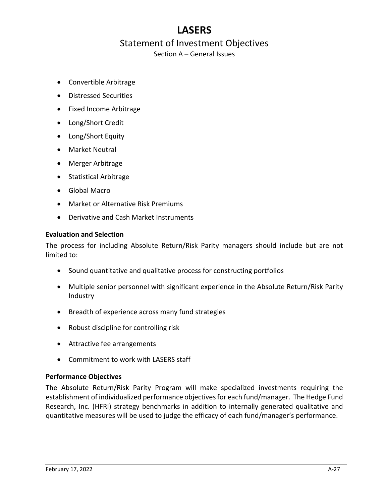# **LASERS**

# Statement of Investment Objectives

Section A – General Issues

- Convertible Arbitrage
- Distressed Securities
- Fixed Income Arbitrage
- Long/Short Credit
- Long/Short Equity
- Market Neutral
- Merger Arbitrage
- Statistical Arbitrage
- Global Macro
- Market or Alternative Risk Premiums
- Derivative and Cash Market Instruments

## **Evaluation and Selection**

The process for including Absolute Return/Risk Parity managers should include but are not limited to:

- Sound quantitative and qualitative process for constructing portfolios
- Multiple senior personnel with significant experience in the Absolute Return/Risk Parity Industry
- Breadth of experience across many fund strategies
- Robust discipline for controlling risk
- Attractive fee arrangements
- Commitment to work with LASERS staff

## **Performance Objectives**

The Absolute Return/Risk Parity Program will make specialized investments requiring the establishment of individualized performance objectives for each fund/manager. The Hedge Fund Research, Inc. (HFRI) strategy benchmarks in addition to internally generated qualitative and quantitative measures will be used to judge the efficacy of each fund/manager's performance.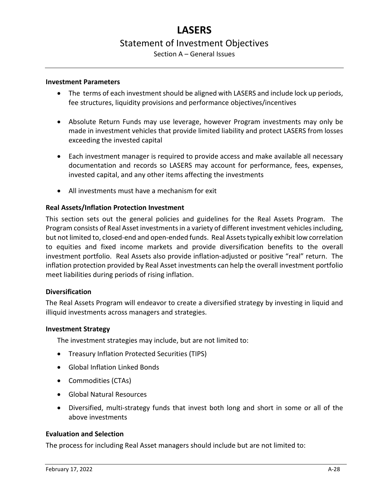# Section A – General Issues

#### **Investment Parameters**

- The terms of each investment should be aligned with LASERS and include lock up periods, fee structures, liquidity provisions and performance objectives/incentives
- Absolute Return Funds may use leverage, however Program investments may only be made in investment vehicles that provide limited liability and protect LASERS from losses exceeding the invested capital
- Each investment manager is required to provide access and make available all necessary documentation and records so LASERS may account for performance, fees, expenses, invested capital, and any other items affecting the investments
- All investments must have a mechanism for exit

#### <span id="page-27-0"></span>**Real Assets/Inflation Protection Investment**

This section sets out the general policies and guidelines for the Real Assets Program. The Program consists of Real Asset investments in a variety of different investment vehicles including, but not limited to, closed-end and open-ended funds. Real Assets typically exhibit low correlation to equities and fixed income markets and provide diversification benefits to the overall investment portfolio. Real Assets also provide inflation-adjusted or positive "real" return. The inflation protection provided by Real Asset investments can help the overall investment portfolio meet liabilities during periods of rising inflation.

#### **Diversification**

The Real Assets Program will endeavor to create a diversified strategy by investing in liquid and illiquid investments across managers and strategies.

#### **Investment Strategy**

The investment strategies may include, but are not limited to:

- Treasury Inflation Protected Securities (TIPS)
- Global Inflation Linked Bonds
- Commodities (CTAs)
- Global Natural Resources
- Diversified, multi-strategy funds that invest both long and short in some or all of the above investments

## **Evaluation and Selection**

The process for including Real Asset managers should include but are not limited to: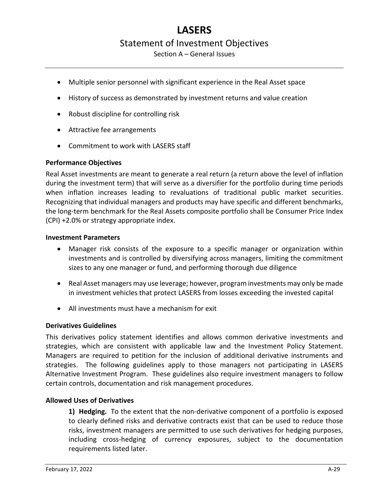Section A – General Issues

- Multiple senior personnel with significant experience in the Real Asset space
- History of success as demonstrated by investment returns and value creation
- Robust discipline for controlling risk
- Attractive fee arrangements
- Commitment to work with LASERS staff

## **Performance Objectives**

Real Asset investments are meant to generate a real return (a return above the level of inflation during the investment term) that will serve as a diversifier for the portfolio during time periods when inflation increases leading to revaluations of traditional public market securities. Recognizing that individual managers and products may have specific and different benchmarks, the long-term benchmark for the Real Assets composite portfolio shall be Consumer Price Index (CPI) +2.0% or strategy appropriate index.

#### **Investment Parameters**

- Manager risk consists of the exposure to a specific manager or organization within investments and is controlled by diversifying across managers, limiting the commitment sizes to any one manager or fund, and performing thorough due diligence
- Real Asset managers may use leverage; however, program investments may only be made in investment vehicles that protect LASERS from losses exceeding the invested capital
- All investments must have a mechanism for exit

#### <span id="page-28-0"></span>**Derivatives Guidelines**

This derivatives policy statement identifies and allows common derivative investments and strategies, which are consistent with applicable law and the Investment Policy Statement. Managers are required to petition for the inclusion of additional derivative instruments and strategies. The following guidelines apply to those managers not participating in LASERS Alternative Investment Program. These guidelines also require investment managers to follow certain controls, documentation and risk management procedures.

## **Allowed Uses of Derivatives**

**1) Hedging.** To the extent that the non-derivative component of a portfolio is exposed to clearly defined risks and derivative contracts exist that can be used to reduce those risks, investment managers are permitted to use such derivatives for hedging purposes, including cross-hedging of currency exposures, subject to the documentation requirements listed later.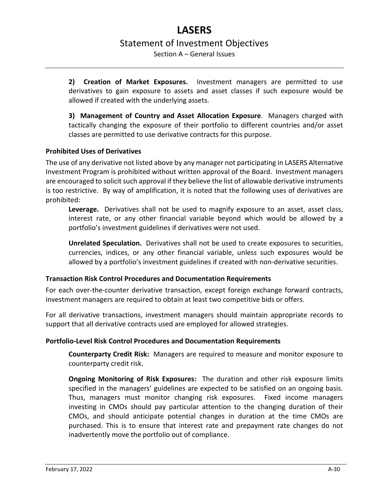Section A – General Issues

**2) Creation of Market Exposures.** Investment managers are permitted to use derivatives to gain exposure to assets and asset classes if such exposure would be allowed if created with the underlying assets.

**3) Management of Country and Asset Allocation Exposure**. Managers charged with tactically changing the exposure of their portfolio to different countries and/or asset classes are permitted to use derivative contracts for this purpose.

# **Prohibited Uses of Derivatives**

The use of any derivative not listed above by any manager not participating in LASERS Alternative Investment Program is prohibited without written approval of the Board. Investment managers are encouraged to solicit such approval if they believe the list of allowable derivative instruments is too restrictive. By way of amplification, it is noted that the following uses of derivatives are prohibited:

**Leverage.** Derivatives shall not be used to magnify exposure to an asset, asset class, interest rate, or any other financial variable beyond which would be allowed by a portfolio's investment guidelines if derivatives were not used.

**Unrelated Speculation.** Derivatives shall not be used to create exposures to securities, currencies, indices, or any other financial variable, unless such exposures would be allowed by a portfolio's investment guidelines if created with non-derivative securities.

## **Transaction Risk Control Procedures and Documentation Requirements**

For each over-the-counter derivative transaction, except foreign exchange forward contracts, investment managers are required to obtain at least two competitive bids or offers.

For all derivative transactions, investment managers should maintain appropriate records to support that all derivative contracts used are employed for allowed strategies.

# **Portfolio-Level Risk Control Procedures and Documentation Requirements**

**Counterparty Credit Risk:** Managers are required to measure and monitor exposure to counterparty credit risk.

**Ongoing Monitoring of Risk Exposures:** The duration and other risk exposure limits specified in the managers' guidelines are expected to be satisfied on an ongoing basis. Thus, managers must monitor changing risk exposures. Fixed income managers investing in CMOs should pay particular attention to the changing duration of their CMOs, and should anticipate potential changes in duration at the time CMOs are purchased. This is to ensure that interest rate and prepayment rate changes do not inadvertently move the portfolio out of compliance.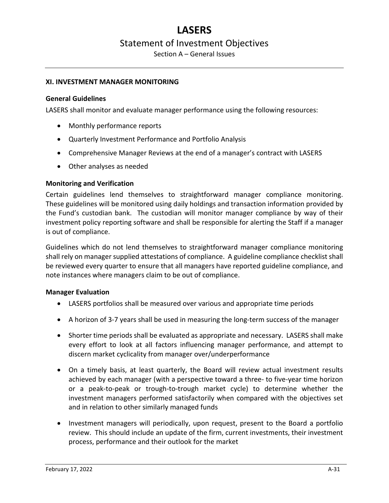Section A – General Issues

#### <span id="page-30-0"></span>**XI. INVESTMENT MANAGER MONITORING**

#### <span id="page-30-1"></span>**General Guidelines**

LASERS shall monitor and evaluate manager performance using the following resources:

- Monthly performance reports
- Quarterly Investment Performance and Portfolio Analysis
- Comprehensive Manager Reviews at the end of a manager's contract with LASERS
- Other analyses as needed

## <span id="page-30-2"></span>**Monitoring and Verification**

Certain guidelines lend themselves to straightforward manager compliance monitoring. These guidelines will be monitored using daily holdings and transaction information provided by the Fund's custodian bank. The custodian will monitor manager compliance by way of their investment policy reporting software and shall be responsible for alerting the Staff if a manager is out of compliance.

Guidelines which do not lend themselves to straightforward manager compliance monitoring shall rely on manager supplied attestations of compliance. A guideline compliance checklist shall be reviewed every quarter to ensure that all managers have reported guideline compliance, and note instances where managers claim to be out of compliance.

#### <span id="page-30-3"></span>**Manager Evaluation**

- LASERS portfolios shall be measured over various and appropriate time periods
- A horizon of 3-7 years shall be used in measuring the long-term success of the manager
- Shorter time periods shall be evaluated as appropriate and necessary. LASERS shall make every effort to look at all factors influencing manager performance, and attempt to discern market cyclicality from manager over/underperformance
- On a timely basis, at least quarterly, the Board will review actual investment results achieved by each manager (with a perspective toward a three- to five-year time horizon or a peak-to-peak or trough-to-trough market cycle) to determine whether the investment managers performed satisfactorily when compared with the objectives set and in relation to other similarly managed funds
- Investment managers will periodically, upon request, present to the Board a portfolio review. This should include an update of the firm, current investments, their investment process, performance and their outlook for the market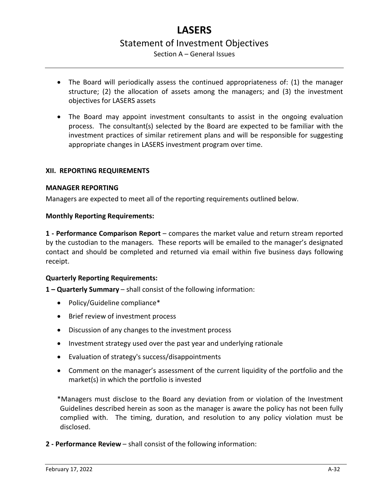# **LASERS** Statement of Investment Objectives Section A – General Issues

- The Board will periodically assess the continued appropriateness of: (1) the manager structure; (2) the allocation of assets among the managers; and (3) the investment objectives for LASERS assets
- The Board may appoint investment consultants to assist in the ongoing evaluation process. The consultant(s) selected by the Board are expected to be familiar with the investment practices of similar retirement plans and will be responsible for suggesting appropriate changes in LASERS investment program over time.

## <span id="page-31-0"></span>**XII. REPORTING REQUIREMENTS**

#### <span id="page-31-1"></span>**MANAGER REPORTING**

<span id="page-31-2"></span>Managers are expected to meet all of the reporting requirements outlined below.

#### **Monthly Reporting Requirements:**

**1 - Performance Comparison Report** – compares the market value and return stream reported by the custodian to the managers. These reports will be emailed to the manager's designated contact and should be completed and returned via email within five business days following receipt.

## <span id="page-31-3"></span>**Quarterly Reporting Requirements:**

**1 – Quarterly Summary** – shall consist of the following information:

- Policy/Guideline compliance\*
- Brief review of investment process
- Discussion of any changes to the investment process
- Investment strategy used over the past year and underlying rationale
- Evaluation of strategy's success/disappointments
- Comment on the manager's assessment of the current liquidity of the portfolio and the market(s) in which the portfolio is invested

\*Managers must disclose to the Board any deviation from or violation of the Investment Guidelines described herein as soon as the manager is aware the policy has not been fully complied with. The timing, duration, and resolution to any policy violation must be disclosed.

**2 - Performance Review** – shall consist of the following information: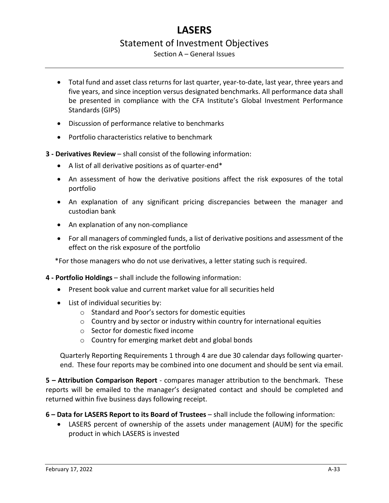Section A – General Issues

- Total fund and asset class returns for last quarter, year-to-date, last year, three years and five years, and since inception versus designated benchmarks. All performance data shall be presented in compliance with the CFA Institute's Global Investment Performance Standards (GIPS)
- Discussion of performance relative to benchmarks
- Portfolio characteristics relative to benchmark
- **3 - Derivatives Review** shall consist of the following information:
	- A list of all derivative positions as of quarter-end\*
	- An assessment of how the derivative positions affect the risk exposures of the total portfolio
	- An explanation of any significant pricing discrepancies between the manager and custodian bank
	- An explanation of any non-compliance
	- For all managers of commingled funds, a list of derivative positions and assessment of the effect on the risk exposure of the portfolio

\*For those managers who do not use derivatives, a letter stating such is required.

- **4 - Portfolio Holdings** shall include the following information:
	- Present book value and current market value for all securities held
	- List of individual securities by:
		- o Standard and Poor's sectors for domestic equities
		- o Country and by sector or industry within country for international equities
		- o Sector for domestic fixed income
		- o Country for emerging market debt and global bonds

Quarterly Reporting Requirements 1 through 4 are due 30 calendar days following quarterend. These four reports may be combined into one document and should be sent via email.

**5 – Attribution Comparison Report** - compares manager attribution to the benchmark. These reports will be emailed to the manager's designated contact and should be completed and returned within five business days following receipt.

**6 – Data for LASERS Report to its Board of Trustees** – shall include the following information:

• LASERS percent of ownership of the assets under management (AUM) for the specific product in which LASERS is invested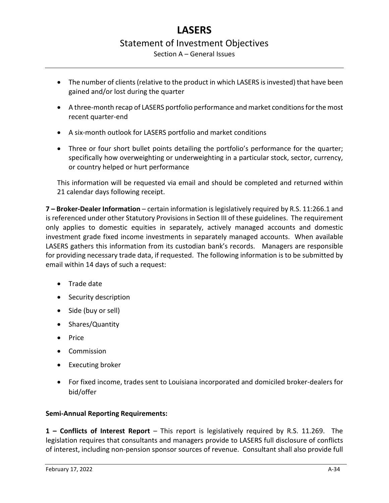Section A – General Issues

- The number of clients (relative to the product in which LASERS is invested) that have been gained and/or lost during the quarter
- A three-month recap of LASERS portfolio performance and market conditions for the most recent quarter-end
- A six-month outlook for LASERS portfolio and market conditions
- Three or four short bullet points detailing the portfolio's performance for the quarter; specifically how overweighting or underweighting in a particular stock, sector, currency, or country helped or hurt performance

This information will be requested via email and should be completed and returned within 21 calendar days following receipt.

**7 – Broker-Dealer Information** – certain information is legislatively required by R.S. 11:266.1 and is referenced under other Statutory Provisions in Section III of these guidelines. The requirement only applies to domestic equities in separately, actively managed accounts and domestic investment grade fixed income investments in separately managed accounts. When available LASERS gathers this information from its custodian bank's records. Managers are responsible for providing necessary trade data, if requested. The following information is to be submitted by email within 14 days of such a request:

- Trade date
- Security description
- Side (buy or sell)
- Shares/Quantity
- Price
- Commission
- Executing broker
- For fixed income, trades sent to Louisiana incorporated and domiciled broker-dealers for bid/offer

# <span id="page-33-0"></span>**Semi-Annual Reporting Requirements:**

**1 – Conflicts of Interest Report** – This report is legislatively required by R.S. 11.269. The legislation requires that consultants and managers provide to LASERS full disclosure of conflicts of interest, including non-pension sponsor sources of revenue. Consultant shall also provide full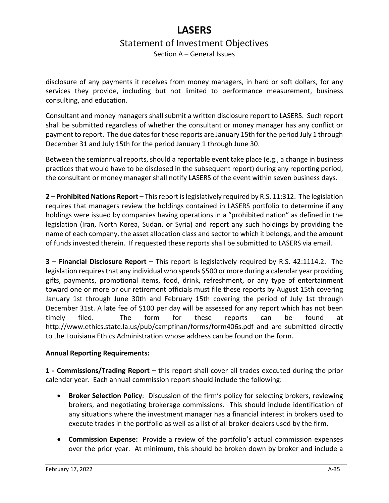# **LASERS** Statement of Investment Objectives Section A – General Issues

disclosure of any payments it receives from money managers, in hard or soft dollars, for any services they provide, including but not limited to performance measurement, business consulting, and education.

Consultant and money managers shall submit a written disclosure report to LASERS. Such report shall be submitted regardless of whether the consultant or money manager has any conflict or payment to report. The due dates for these reports are January 15th for the period July 1 through December 31 and July 15th for the period January 1 through June 30.

Between the semiannual reports, should a reportable event take place (e.g., a change in business practices that would have to be disclosed in the subsequent report) during any reporting period, the consultant or money manager shall notify LASERS of the event within seven business days.

**2 – Prohibited Nations Report –** This report is legislatively required by R.S. 11:312. The legislation requires that managers review the holdings contained in LASERS portfolio to determine if any holdings were issued by companies having operations in a "prohibited nation" as defined in the legislation (Iran, North Korea, Sudan, or Syria) and report any such holdings by providing the name of each company, the asset allocation class and sector to which it belongs, and the amount of funds invested therein. If requested these reports shall be submitted to LASERS via email.

**3 – Financial Disclosure Report –** This report is legislatively required by R.S. 42:1114.2. The legislation requires that any individual who spends \$500 or more during a calendar year providing gifts, payments, promotional items, food, drink, refreshment, or any type of entertainment toward one or more or our retirement officials must file these reports by August 15th covering January 1st through June 30th and February 15th covering the period of July 1st through December 31st. A late fee of \$100 per day will be assessed for any report which has not been timely filed. The form for these reports can be found at http://www.ethics.state.la.us/pub/campfinan/forms/form406s.pdf and are submitted directly to the Louisiana Ethics Administration whose address can be found on the form.

# <span id="page-34-0"></span>**Annual Reporting Requirements:**

**1 - Commissions/Trading Report –** this report shall cover all trades executed during the prior calendar year. Each annual commission report should include the following:

- **Broker Selection Policy**: Discussion of the firm's policy for selecting brokers, reviewing brokers, and negotiating brokerage commissions. This should include identification of any situations where the investment manager has a financial interest in brokers used to execute trades in the portfolio as well as a list of all broker-dealers used by the firm.
- **Commission Expense:** Provide a review of the portfolio's actual commission expenses over the prior year. At minimum, this should be broken down by broker and include a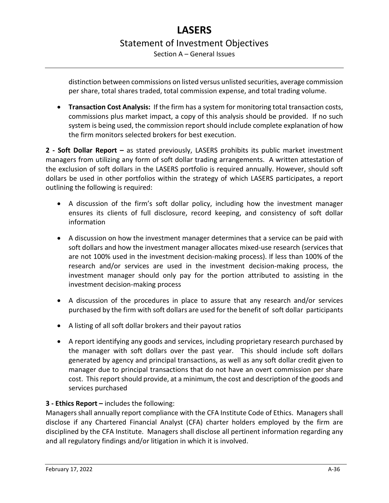distinction between commissions on listed versus unlisted securities, average commission per share, total shares traded, total commission expense, and total trading volume.

• **Transaction Cost Analysis:** If the firm has a system for monitoring total transaction costs, commissions plus market impact, a copy of this analysis should be provided. If no such system is being used, the commission report should include complete explanation of how the firm monitors selected brokers for best execution.

**2 - Soft Dollar Report –** as stated previously, LASERS prohibits its public market investment managers from utilizing any form of soft dollar trading arrangements. A written attestation of the exclusion of soft dollars in the LASERS portfolio is required annually. However, should soft dollars be used in other portfolios within the strategy of which LASERS participates, a report outlining the following is required:

- A discussion of the firm's soft dollar policy, including how the investment manager ensures its clients of full disclosure, record keeping, and consistency of soft dollar information
- A discussion on how the investment manager determines that a service can be paid with soft dollars and how the investment manager allocates mixed-use research (services that are not 100% used in the investment decision-making process). If less than 100% of the research and/or services are used in the investment decision-making process, the investment manager should only pay for the portion attributed to assisting in the investment decision-making process
- A discussion of the procedures in place to assure that any research and/or services purchased by the firm with soft dollars are used for the benefit of soft dollar participants
- A listing of all soft dollar brokers and their payout ratios
- A report identifying any goods and services, including proprietary research purchased by the manager with soft dollars over the past year. This should include soft dollars generated by agency and principal transactions, as well as any soft dollar credit given to manager due to principal transactions that do not have an overt commission per share cost. This report should provide, at a minimum, the cost and description of the goods and services purchased

# **3 - Ethics Report –** includes the following:

Managers shall annually report compliance with the CFA Institute Code of Ethics. Managers shall disclose if any Chartered Financial Analyst (CFA) charter holders employed by the firm are disciplined by the CFA Institute. Managers shall disclose all pertinent information regarding any and all regulatory findings and/or litigation in which it is involved.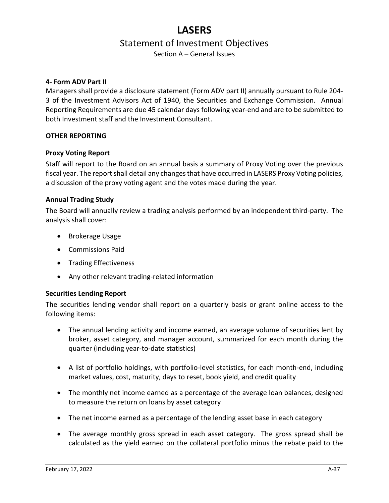Section A – General Issues

## **4- Form ADV Part II**

Managers shall provide a disclosure statement (Form ADV part II) annually pursuant to Rule 204- 3 of the Investment Advisors Act of 1940, the Securities and Exchange Commission. Annual Reporting Requirements are due 45 calendar days following year-end and are to be submitted to both Investment staff and the Investment Consultant.

## <span id="page-36-0"></span>**OTHER REPORTING**

#### <span id="page-36-1"></span>**Proxy Voting Report**

Staff will report to the Board on an annual basis a summary of Proxy Voting over the previous fiscal year. The report shall detail any changes that have occurred in LASERS Proxy Voting policies, a discussion of the proxy voting agent and the votes made during the year.

## <span id="page-36-2"></span>**Annual Trading Study**

The Board will annually review a trading analysis performed by an independent third-party. The analysis shall cover:

- Brokerage Usage
- Commissions Paid
- Trading Effectiveness
- Any other relevant trading-related information

## <span id="page-36-3"></span>**Securities Lending Report**

The securities lending vendor shall report on a quarterly basis or grant online access to the following items:

- The annual lending activity and income earned, an average volume of securities lent by broker, asset category, and manager account, summarized for each month during the quarter (including year-to-date statistics)
- A list of portfolio holdings, with portfolio-level statistics, for each month-end, including market values, cost, maturity, days to reset, book yield, and credit quality
- The monthly net income earned as a percentage of the average loan balances, designed to measure the return on loans by asset category
- The net income earned as a percentage of the lending asset base in each category
- The average monthly gross spread in each asset category. The gross spread shall be calculated as the yield earned on the collateral portfolio minus the rebate paid to the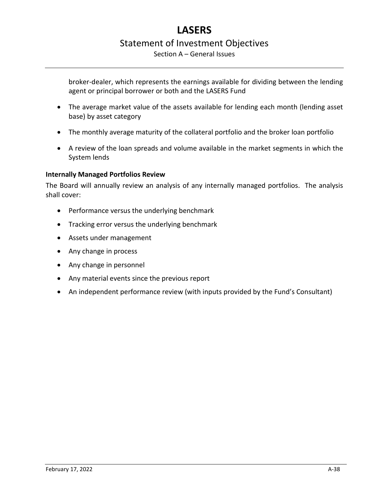Section A – General Issues

broker-dealer, which represents the earnings available for dividing between the lending agent or principal borrower or both and the LASERS Fund

- The average market value of the assets available for lending each month (lending asset base) by asset category
- The monthly average maturity of the collateral portfolio and the broker loan portfolio
- A review of the loan spreads and volume available in the market segments in which the System lends

# <span id="page-37-0"></span>**Internally Managed Portfolios Review**

The Board will annually review an analysis of any internally managed portfolios. The analysis shall cover:

- Performance versus the underlying benchmark
- Tracking error versus the underlying benchmark
- Assets under management
- Any change in process
- Any change in personnel
- Any material events since the previous report
- An independent performance review (with inputs provided by the Fund's Consultant)